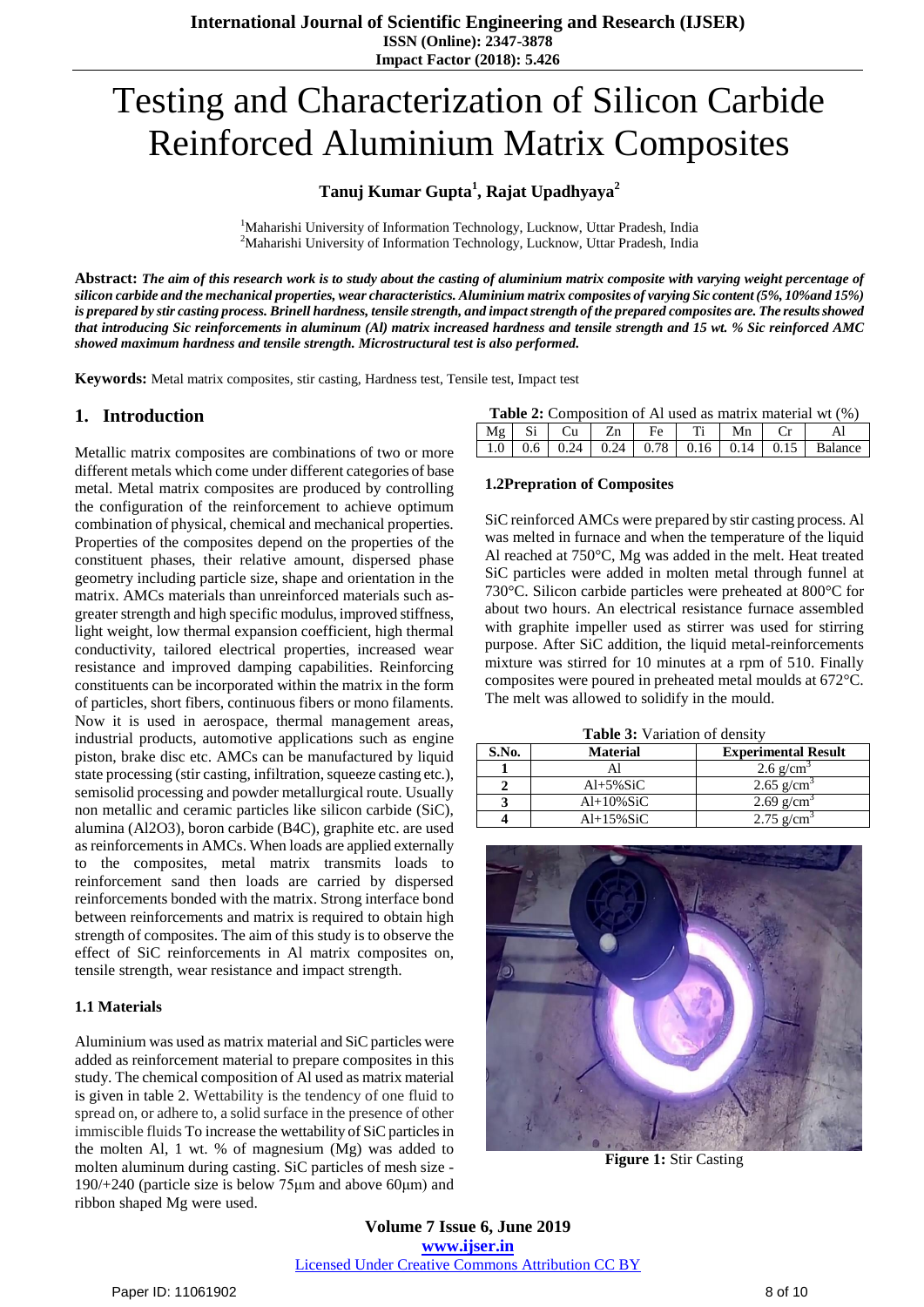# Testing and Characterization of Silicon Carbide Reinforced Aluminium Matrix Composites

# **Tanuj Kumar Gupta<sup>1</sup> , Rajat Upadhyaya<sup>2</sup>**

<sup>1</sup>Maharishi University of Information Technology, Lucknow, Uttar Pradesh, India <sup>2</sup>Maharishi University of Information Technology, Lucknow, Uttar Pradesh, India

Abstract: The aim of this research work is to study about the casting of aluminium matrix composite with varying weight percentage of silicon carbide and the mechanical properties, wear characteristics. Aluminium matrix composites of varying Sic content (5%, 10% and 15%) is prepared by stir casting process. Brinell hardness, tensile strength, and impact strength of the prepared composites are. The results showed that introducing Sic reinforcements in aluminum (Al) matrix increased hardness and tensile strength and 15 wt. % Sic reinforced AMC *showed maximum hardness and tensile strength. Microstructural test is also performed.*

**Keywords:** Metal matrix composites, stir casting, Hardness test, Tensile test, Impact test

#### **1. Introduction**

Metallic matrix composites are combinations of two or more different metals which come under different categories of base metal. Metal matrix composites are produced by controlling the configuration of the reinforcement to achieve optimum combination of physical, chemical and mechanical properties. Properties of the composites depend on the properties of the constituent phases, their relative amount, dispersed phase geometry including particle size, shape and orientation in the matrix. AMCs materials than unreinforced materials such asgreater strength and high specific modulus, improved stiffness, light weight, low thermal expansion coefficient, high thermal conductivity, tailored electrical properties, increased wear resistance and improved damping capabilities. Reinforcing constituents can be incorporated within the matrix in the form of particles, short fibers, continuous fibers or mono filaments. Now it is used in aerospace, thermal management areas, industrial products, automotive applications such as engine piston, brake disc etc. AMCs can be manufactured by liquid state processing (stir casting, infiltration, squeeze casting etc.), semisolid processing and powder metallurgical route. Usually non metallic and ceramic particles like silicon carbide (SiC), alumina (Al2O3), boron carbide (B4C), graphite etc. are used as reinforcements in AMCs. When loads are applied externally to the composites, metal matrix transmits loads to reinforcement sand then loads are carried by dispersed reinforcements bonded with the matrix. Strong interface bond between reinforcements and matrix is required to obtain high strength of composites. The aim of this study is to observe the effect of SiC reinforcements in Al matrix composites on, tensile strength, wear resistance and impact strength.

#### **1.1 Materials**

Aluminium was used as matrix material and SiC particles were added as reinforcement material to prepare composites in this study. The chemical composition of Al used as matrix material is given in table 2. Wettability is the tendency of one fluid to spread on, or adhere to, a solid surface in the presence of other immiscible fluids To increase the wettability of SiC particles in the molten Al, 1 wt. % of magnesium (Mg) was added to molten aluminum during casting. SiC particles of mesh size -  $190/+240$  (particle size is below  $75\mu$ m and above  $60\mu$ m) and ribbon shaped Mg were used.

| <b>Table 2:</b> Composition of Al used as matrix material wt (%) |  |  |  |  |                             |  |                                                                 |
|------------------------------------------------------------------|--|--|--|--|-----------------------------|--|-----------------------------------------------------------------|
|                                                                  |  |  |  |  | $Mg$ Si Cu $Zn$ Fe Ti Mn Cr |  |                                                                 |
|                                                                  |  |  |  |  |                             |  | $1.0$   0.6   0.24   0.24   0.78   0.16   0.14   0.15   Balance |

#### **1.2Prepration of Composites**

SiC reinforced AMCs were prepared by stir casting process. Al was melted in furnace and when the temperature of the liquid Al reached at 750°C, Mg was added in the melt. Heat treated SiC particles were added in molten metal through funnel at 730°C. Silicon carbide particles were preheated at 800°C for about two hours. An electrical resistance furnace assembled with graphite impeller used as stirrer was used for stirring purpose. After SiC addition, the liquid metal-reinforcements mixture was stirred for 10 minutes at a rpm of 510. Finally composites were poured in preheated metal moulds at 672°C. The melt was allowed to solidify in the mould.

**Table 3:** Variation of density

| S.No. | <b>Material</b> | <b>Experimental Result</b> |
|-------|-----------------|----------------------------|
|       |                 | $2.6$ g/cm <sup>3</sup>    |
|       | $Al+5\%SiC$     | $2.65$ g/cm <sup>3</sup>   |
|       | $Al+10\%SiC$    | $2.69$ g/cm <sup>3</sup>   |
|       | $Al+15\%SiC$    | $2.75$ g/cm <sup>3</sup>   |



**Figure 1:** Stir Casting

**Volume 7 Issue 6, June 2019 www.ijser.in** Licensed Under Creative Commons Attribution CC BY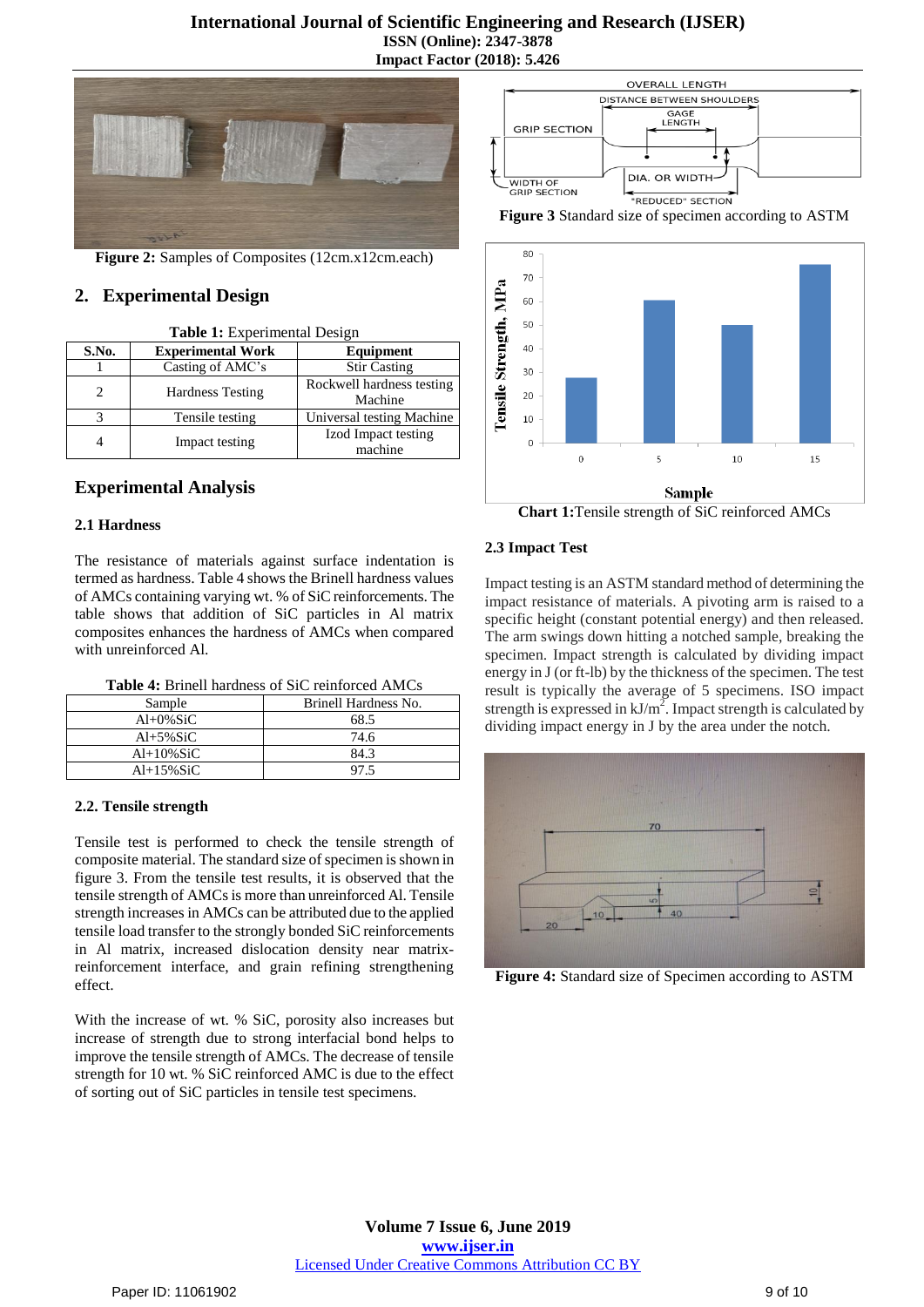### **International Journal of Scientific Engineering and Research (IJSER) ISSN (Online): 2347-3878 Impact Factor (2018): 5.426**



**Figure 2:** Samples of Composites (12cm.x12cm.each)

# **2. Experimental Design**

|  |  | Table 1: Experimental Design |
|--|--|------------------------------|
|  |  |                              |

| S.No.                       | <b>Experimental Work</b> | Equipment                            |
|-----------------------------|--------------------------|--------------------------------------|
|                             | Casting of AMC's         | <b>Stir Casting</b>                  |
| $\mathcal{D}_{\mathcal{L}}$ | <b>Hardness Testing</b>  | Rockwell hardness testing<br>Machine |
|                             | Tensile testing          | Universal testing Machine            |
|                             | Impact testing           | Izod Impact testing<br>machine       |

# **Experimental Analysis**

#### **2.1 Hardness**

The resistance of materials against surface indentation is termed as hardness. Table 4 shows the Brinell hardness values of AMCs containing varying wt. % of SiCreinforcements. The table shows that addition of SiC particles in Al matrix composites enhances the hardness of AMCs when compared with unreinforced Al.

**Table 4:** Brinell hardness of SiC reinforced AMCs

| Sample       | Brinell Hardness No. |
|--------------|----------------------|
| $Al+0\%SiC$  | 68.5                 |
| $Al+5\%SiC$  | 74.6                 |
| $Al+10\%SiC$ | 84.3                 |
| $Al+15\%SiC$ |                      |

#### **2.2. Tensile strength**

Tensile test is performed to check the tensile strength of composite material. The standard size of specimen is shown in figure 3. From the tensile test results, it is observed that the tensile strength of AMCs is more than unreinforced Al. Tensile strength increases in AMCs can be attributed due to the applied tensile load transfer to the strongly bonded SiC reinforcements in Al matrix, increased dislocation density near matrixreinforcement interface, and grain refining strengthening effect.

With the increase of wt. % SiC, porosity also increases but increase of strength due to strong interfacial bond helps to improve the tensile strength of AMCs. The decrease of tensile strength for 10 wt. % SiC reinforced AMC is due to the effect of sorting out of SiC particles in tensile test specimens.



**Figure 3** Standard size of specimen according to ASTM



**Chart 1:**Tensile strength of SiC reinforced AMCs

### **2.3 Impact Test**

Impact testing is an ASTM standard method of determining the impact resistance of materials. A pivoting arm is raised to a specific height (constant potential energy) and then released. The arm swings down hitting a notched sample, breaking the specimen. Impact strength is calculated by dividing impact energy in J (or ft-lb) by the thickness of the specimen. The test result is typically the average of 5 specimens. ISO impact strength is expressed in  $kJ/m^2$ . Impact strength is calculated by dividing impact energy in J by the area under the notch.



**Figure 4:** Standard size of Specimen according to ASTM